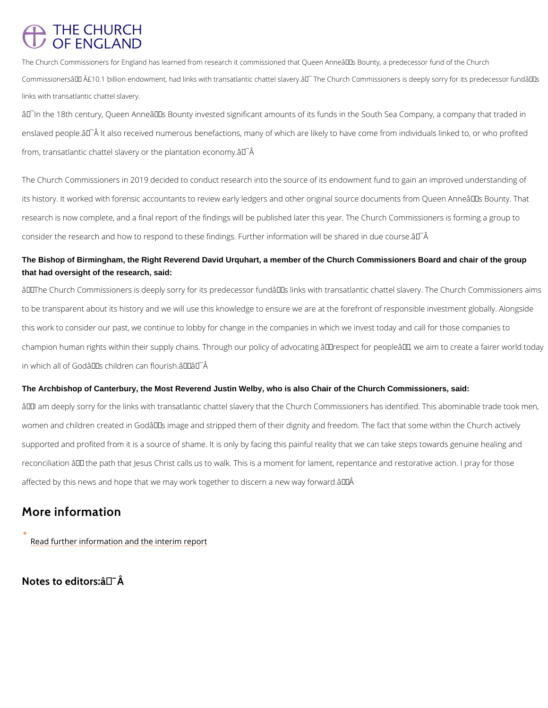## **THE CHURCH** OF FNGI AND

The Church Commissioners for England has learned from research it commissioned that Queen Anne's Commissioners $\hat{\mathbf{a}} \in \mathbb{M}$   $\hat{A}$ £10.1 billion endowment, had links with transatlantic chattel slavery. $\hat{\mathbf{a}} \in \mathbb{T}$  The Churc links with transatlantic chattel slavery.

 $\hat{a} \in \hat{I}$ In the 18th century, Queen Anne $\hat{a} \in \hat{I}^M$ s Bounty invested significant amounts of its funds in enslaved people.å $\epsilon^-$  It also received numerous benefactions, many of which are likely to ha from, transatlantic chattel slavery or the plantation economy. $\hat{a} \in A$ 

The Church Commissioners in 2019 decided to conduct research into the source of its endowl its history. It worked with forensic accountants to review early ledgers and other original so research is now complete, and a final report of the findings will be published later this year. consider the research and how to respond to these findings. Further information will be share

The Bishop of Birmingham, the Right Reverend David Urquhart, a member of the Church Commissioners Board and chair of the group that had oversight of the research, said:

 $\hat{a} \in \infty$ The Church Commissioners is deeply sorry for its predecessor fund $\hat{a} \in \infty$  links with trans to be transparent about its history and we will use this knowledge to ensure we are at the fo this work to consider our past, we continue to lobby for change in the companies in which we champion human rights within their supply chains. Through our policy of advocating  $\mathbf{\hat{a}} \in \tilde{ }$ respe in which all of God's children can flourish.―â€^Â

The Archbishop of Canterbury, the Most Reverend Justin Welby, who is also Chair of the Church Commissioners, said:

 $\hat{a} \in \infty$  am deeply sorry for the links with transatlantic chattel slavery that the Church Commis women and children created in Godâ $\in$   $\mathbb{T}^{\mathsf{M}}$ s image and stripped them of their dignity and freedo supported and profited from it is a source of shame. It is only by facing this painful reality t reconciliation  $\hat{a} \in ``$  the path that Jesus Christ calls us to walk. This is a moment for lament, r affected by this news and hope that we may work together to discern a new way forward.―Á

More information

[Read further information and th](https://www.churchofengland.org/church-commissioners-links-historic-transatlantic-slavery)e interim report

Notes to editors:  $\hat{a} \in \hat{A}$